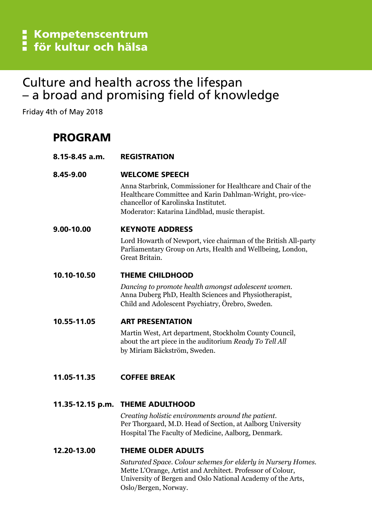# Culture and health across the lifespan - a broad and promising field of knowledge

Friday 4th of May 2018

# PROGRAM

| 8.15-8.45 a.m. | <b>REGISTRATION</b>                                                                                                                                                                                                |
|----------------|--------------------------------------------------------------------------------------------------------------------------------------------------------------------------------------------------------------------|
| 8.45-9.00      | <b>WELCOME SPEECH</b>                                                                                                                                                                                              |
|                | Anna Starbrink, Commissioner for Healthcare and Chair of the<br>Healthcare Committee and Karin Dahlman-Wright, pro-vice-<br>chancellor of Karolinska Institutet.<br>Moderator: Katarina Lindblad, music therapist. |
| 9.00-10.00     | <b>KEYNOTE ADDRESS</b>                                                                                                                                                                                             |
|                | Lord Howarth of Newport, vice chairman of the British All-party<br>Parliamentary Group on Arts, Health and Wellbeing, London,<br>Great Britain.                                                                    |
| 10.10-10.50    | <b>THEME CHILDHOOD</b>                                                                                                                                                                                             |
|                | Dancing to promote health amongst adolescent women.<br>Anna Duberg PhD, Health Sciences and Physiotherapist,<br>Child and Adolescent Psychiatry, Örebro, Sweden.                                                   |
| 10.55-11.05    | <b>ART PRESENTATION</b>                                                                                                                                                                                            |
|                | Martin West, Art department, Stockholm County Council,<br>about the art piece in the auditorium Ready To Tell All<br>by Miriam Bäckström, Sweden.                                                                  |
| 11.05-11.35    | <b>COFFEE BREAK</b>                                                                                                                                                                                                |
|                | 11.35-12.15 p.m. THEME ADULTHOOD                                                                                                                                                                                   |
|                | Creating holistic environments around the patient.<br>Per Thorgaard, M.D. Head of Section, at Aalborg University<br>Hospital The Faculty of Medicine, Aalborg, Denmark.                                            |
| 12.20-13.00    | <b>THEME OLDER ADULTS</b>                                                                                                                                                                                          |
|                | Saturated Space. Colour schemes for elderly in Nursery Homes.                                                                                                                                                      |

 Mette L'Orange, Artist and Architect. Professor of Colour, University of Bergen and Oslo National Academy of the Arts, Oslo/Bergen, Norway.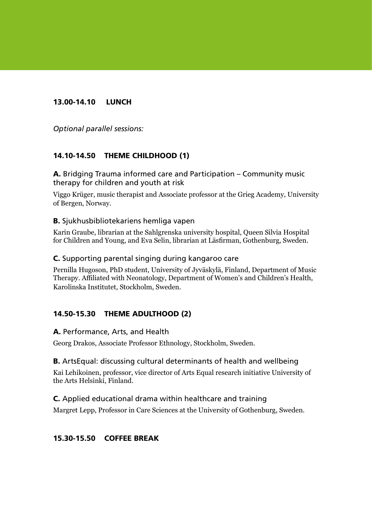## 13.00-14.10 LUNCH

Optional parallel sessions:

## 14.10-14.50 THEME CHILDHOOD (1)

A. Bridging Trauma informed care and Participation – Community music therapy for children and youth at risk

Viggo Krüger, music therapist and Associate professor at the Grieg Academy, University of Bergen, Norway.

#### B. Sjukhusbibliotekariens hemliga vapen

Karin Graube, librarian at the Sahlgrenska university hospital, Queen Silvia Hospital for Children and Young, and Eva Selin, librarian at Läsfirman, Gothenburg, Sweden.

#### C. Supporting parental singing during kangaroo care

Pernilla Hugoson, PhD student, University of Jyväskylä, Finland, Department of Music Therapy. Affiliated with Neonatology, Department of Women's and Children's Health, Karolinska Institutet, Stockholm, Sweden.

### 14.50-15.30 THEME ADULTHOOD (2)

#### A. Performance, Arts, and Health

Georg Drakos, Associate Professor Ethnology, Stockholm, Sweden.

#### B. ArtsEqual: discussing cultural determinants of health and wellbeing

Kai Lehikoinen, professor, vice director of Arts Equal research initiative University of the Arts Helsinki, Finland.

#### C. Applied educational drama within healthcare and training

Margret Lepp, Professor in Care Sciences at the University of Gothenburg, Sweden.

### 15.30-15.50 COFFEE BREAK